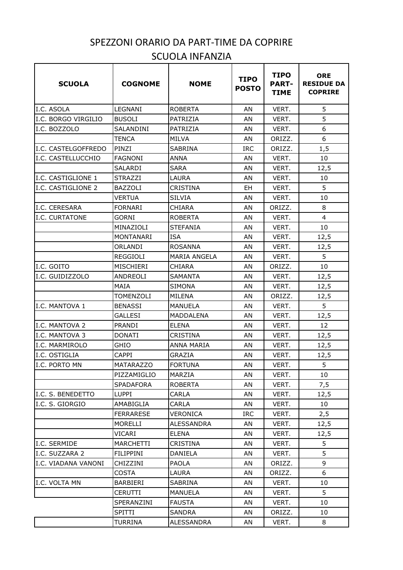## SPEZZONI ORARIO DA PART-TIME DA COPRIRE SCUOLA INFANZIA

| <b>SCUOLA</b>       | <b>COGNOME</b>   | <b>NOME</b>       | <b>TIPO</b><br><b>POSTO</b> | <b>TIPO</b><br><b>PART-</b><br><b>TIME</b> | <b>ORE</b><br><b>RESIDUE DA</b><br><b>COPRIRE</b> |
|---------------------|------------------|-------------------|-----------------------------|--------------------------------------------|---------------------------------------------------|
| I.C. ASOLA          | <b>LEGNANI</b>   | <b>ROBERTA</b>    | AN                          | VERT.                                      | 5                                                 |
| I.C. BORGO VIRGILIO | <b>BUSOLI</b>    | PATRIZIA          | AN                          | VERT.                                      | 5                                                 |
| I.C. BOZZOLO        | SALANDINI        | PATRIZIA          | AN                          | VERT.                                      | 6                                                 |
|                     | <b>TENCA</b>     | <b>MILVA</b>      | AN                          | ORIZZ.                                     | 6                                                 |
| I.C. CASTELGOFFREDO | PINZI            | <b>SABRINA</b>    | <b>IRC</b>                  | ORIZZ.                                     | 1,5                                               |
| I.C. CASTELLUCCHIO  | <b>FAGNONI</b>   | <b>ANNA</b>       | AN                          | VERT.                                      | 10                                                |
|                     | <b>SALARDI</b>   | <b>SARA</b>       | AN                          | VERT.                                      | 12,5                                              |
| I.C. CASTIGLIONE 1  | <b>STRAZZI</b>   | LAURA             | AN                          | VERT.                                      | 10                                                |
| I.C. CASTIGLIONE 2  | <b>BAZZOLI</b>   | <b>CRISTINA</b>   | EH                          | VERT.                                      | 5                                                 |
|                     | VERTUA           | <b>SILVIA</b>     | AN                          | VERT.                                      | 10                                                |
| I.C. CERESARA       | <b>FORNARI</b>   | <b>CHIARA</b>     | AN                          | ORIZZ.                                     | 8                                                 |
| I.C. CURTATONE      | <b>GORNI</b>     | <b>ROBERTA</b>    | AN                          | VERT.                                      | 4                                                 |
|                     | MINAZIOLI        | <b>STEFANIA</b>   | ΑN                          | VERT.                                      | 10                                                |
|                     | <b>MONTANARI</b> | <b>ISA</b>        | AN                          | VERT.                                      | 12,5                                              |
|                     | ORLANDI          | <b>ROSANNA</b>    | AN                          | VERT.                                      | 12,5                                              |
|                     | <b>REGGIOLI</b>  | MARIA ANGELA      | AN                          | VERT.                                      | 5                                                 |
| I.C. GOITO          | <b>MISCHIERI</b> | <b>CHIARA</b>     | AN                          | ORIZZ.                                     | 10                                                |
| I.C. GUIDIZZOLO     | ANDREOLI         | <b>SAMANTA</b>    | AN                          | VERT.                                      | 12,5                                              |
|                     | MAIA             | <b>SIMONA</b>     | AN                          | VERT.                                      | 12,5                                              |
|                     | <b>TOMENZOLI</b> | <b>MILENA</b>     | AN                          | ORIZZ.                                     | 12,5                                              |
| I.C. MANTOVA 1      | <b>BENASSI</b>   | <b>MANUELA</b>    | AN                          | VERT.                                      | 5                                                 |
|                     | GALLESI          | <b>MADDALENA</b>  | AN                          | VERT.                                      | 12,5                                              |
| I.C. MANTOVA 2      | <b>PRANDI</b>    | <b>ELENA</b>      | AN                          | VERT.                                      | 12                                                |
| I.C. MANTOVA 3      | <b>DONATI</b>    | <b>CRISTINA</b>   | AN                          | VERT.                                      | 12,5                                              |
| I.C. MARMIROLO      | <b>GHIO</b>      | <b>ANNA MARIA</b> | AN                          | VERT.                                      | 12,5                                              |
| I.C. OSTIGLIA       | <b>CAPPI</b>     | <b>GRAZIA</b>     | AN                          | VERT.                                      | 12,5                                              |
| I.C. PORTO MN       | MATARAZZO        | <b>FORTUNA</b>    | AN                          | VERT.                                      | 5                                                 |
|                     | PIZZAMIGLIO      | MARZIA            | AN                          | VERT.                                      | 10                                                |
|                     | <b>SPADAFORA</b> | <b>ROBERTA</b>    | AN                          | VERT.                                      | 7,5                                               |
| I.C. S. BENEDETTO   | <b>LUPPI</b>     | <b>CARLA</b>      | AN                          | VERT.                                      | 12,5                                              |
| I.C. S. GIORGIO     | AMABIGLIA        | CARLA             | AN                          | VERT.                                      | 10                                                |
|                     | <b>FERRARESE</b> | VERONICA          | <b>IRC</b>                  | VERT.                                      | 2,5                                               |
|                     | <b>MORELLI</b>   | <b>ALESSANDRA</b> | AN                          | VERT.                                      | 12,5                                              |
|                     | VICARI           | <b>ELENA</b>      | AN                          | VERT.                                      | 12,5                                              |
| I.C. SERMIDE        | MARCHETTI        | CRISTINA          | AN                          | VERT.                                      | 5                                                 |
| I.C. SUZZARA 2      | <b>FILIPPINI</b> | <b>DANIELA</b>    | AN                          | VERT.                                      | 5                                                 |
| I.C. VIADANA VANONI | CHIZZINI         | PAOLA             | ΑN                          | ORIZZ.                                     | 9                                                 |
|                     | COSTA            | LAURA             | AN                          | ORIZZ.                                     | 6                                                 |
| I.C. VOLTA MN       | <b>BARBIERI</b>  | SABRINA           | AN                          | VERT.                                      | 10                                                |
|                     | <b>CERUTTI</b>   | MANUELA           | AN                          | VERT.                                      | 5                                                 |
|                     | SPERANZINI       | <b>FAUSTA</b>     | AN                          | VERT.                                      | 10                                                |
|                     | SPITTI           | SANDRA            | AN                          | ORIZZ.                                     | 10                                                |
|                     | <b>TURRINA</b>   | ALESSANDRA        | AN                          | VERT.                                      | 8                                                 |